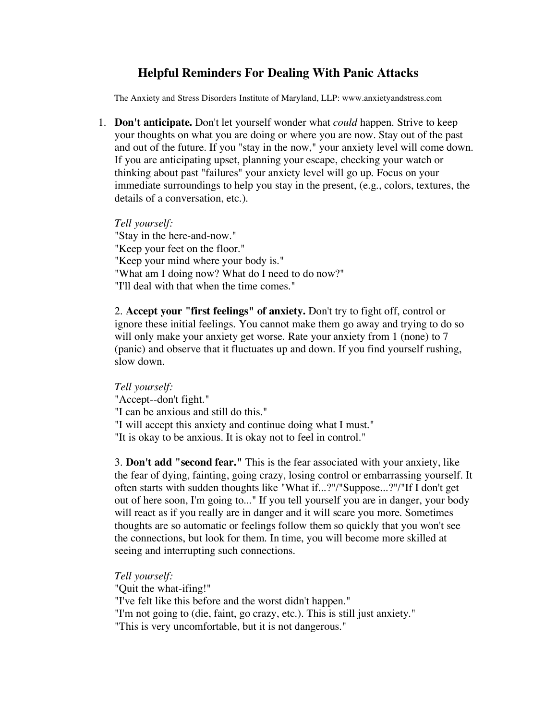## **Helpful Reminders For Dealing With Panic Attacks**

The Anxiety and Stress Disorders Institute of Maryland, LLP: www.anxietyandstress.com

1. **Don't anticipate.** Don't let yourself wonder what *could* happen. Strive to keep your thoughts on what you are doing or where you are now. Stay out of the past and out of the future. If you "stay in the now," your anxiety level will come down. If you are anticipating upset, planning your escape, checking your watch or thinking about past "failures" your anxiety level will go up. Focus on your immediate surroundings to help you stay in the present, (e.g., colors, textures, the details of a conversation, etc.).

*Tell yourself:* "Stay in the here-and-now." "Keep your feet on the floor." "Keep your mind where your body is." "What am I doing now? What do I need to do now?" "I'll deal with that when the time comes."

2. **Accept your "first feelings" of anxiety.** Don't try to fight off, control or ignore these initial feelings. You cannot make them go away and trying to do so will only make your anxiety get worse. Rate your anxiety from 1 (none) to 7 (panic) and observe that it fluctuates up and down. If you find yourself rushing, slow down.

*Tell yourself:* "Accept--don't fight." "I can be anxious and still do this." "I will accept this anxiety and continue doing what I must." "It is okay to be anxious. It is okay not to feel in control."

3. **Don't add "second fear."** This is the fear associated with your anxiety, like the fear of dying, fainting, going crazy, losing control or embarrassing yourself. It often starts with sudden thoughts like "What if...?"/"Suppose...?"/"If I don't get out of here soon, I'm going to..." If you tell yourself you are in danger, your body will react as if you really are in danger and it will scare you more. Sometimes thoughts are so automatic or feelings follow them so quickly that you won't see the connections, but look for them. In time, you will become more skilled at seeing and interrupting such connections.

*Tell yourself:*

"Quit the what-ifing!"

"I've felt like this before and the worst didn't happen."

"I'm not going to (die, faint, go crazy, etc.). This is still just anxiety." "This is very uncomfortable, but it is not dangerous."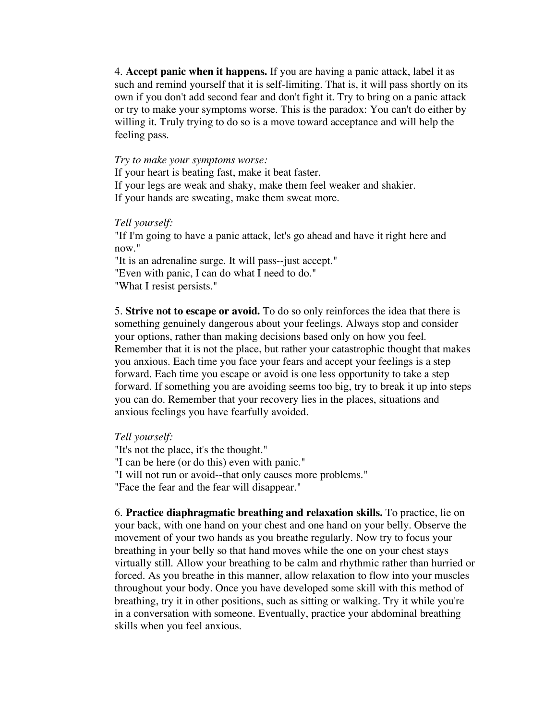4. **Accept panic when it happens.** If you are having a panic attack, label it as such and remind yourself that it is self-limiting. That is, it will pass shortly on its own if you don't add second fear and don't fight it. Try to bring on a panic attack or try to make your symptoms worse. This is the paradox: You can't do either by willing it. Truly trying to do so is a move toward acceptance and will help the feeling pass.

## *Try to make your symptoms worse:*

If your heart is beating fast, make it beat faster.

If your legs are weak and shaky, make them feel weaker and shakier. If your hands are sweating, make them sweat more.

## *Tell yourself:*

"If I'm going to have a panic attack, let's go ahead and have it right here and now."

"It is an adrenaline surge. It will pass--just accept." "Even with panic, I can do what I need to do." "What I resist persists."

5. **Strive not to escape or avoid.** To do so only reinforces the idea that there is something genuinely dangerous about your feelings. Always stop and consider your options, rather than making decisions based only on how you feel. Remember that it is not the place, but rather your catastrophic thought that makes you anxious. Each time you face your fears and accept your feelings is a step forward. Each time you escape or avoid is one less opportunity to take a step forward. If something you are avoiding seems too big, try to break it up into steps you can do. Remember that your recovery lies in the places, situations and anxious feelings you have fearfully avoided.

*Tell yourself:*

"It's not the place, it's the thought." "I can be here (or do this) even with panic." "I will not run or avoid--that only causes more problems." "Face the fear and the fear will disappear."

6. **Practice diaphragmatic breathing and relaxation skills.** To practice, lie on your back, with one hand on your chest and one hand on your belly. Observe the movement of your two hands as you breathe regularly. Now try to focus your breathing in your belly so that hand moves while the one on your chest stays virtually still. Allow your breathing to be calm and rhythmic rather than hurried or forced. As you breathe in this manner, allow relaxation to flow into your muscles throughout your body. Once you have developed some skill with this method of breathing, try it in other positions, such as sitting or walking. Try it while you're in a conversation with someone. Eventually, practice your abdominal breathing skills when you feel anxious.